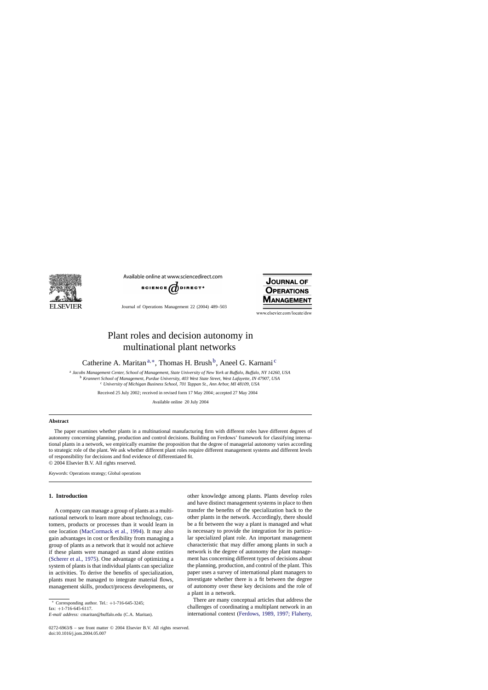

Available online at www.sciencedirect.com



Journal of Operations Management 22 (2004) 489–503



www.elsevier.com/locate/dsw

## Plant roles and decision autonomy in multinational plant networks

Catherine A. Maritan<sup>a,\*</sup>, Thomas H. Brush<sup>b</sup>, Aneel G. Karnani<sup>c</sup>

<sup>a</sup> *Jacobs Management Center, School of Management, State University of New York at Buffalo, Buffalo, NY 14260, USA* <sup>b</sup> *Krannert School of Management, Purdue University, 403 West State Street, West Lafayette, IN 47907, USA* <sup>c</sup> *University of Michigan Business School, 701 Tappan St., Ann Arbor, MI 48109, USA*

Received 25 July 2002; received in revised form 17 May 2004; accepted 27 May 2004

Available online 20 July 2004

### **Abstract**

The paper examines whether plants in a multinational manufacturing firm with different roles have different degrees of autonomy concerning planning, production and control decisions. Building on Ferdows' framework for classifying international plants in a network, we empirically examine the proposition that the degree of managerial autonomy varies according to strategic role of the plant. We ask whether different plant roles require different management systems and different levels of responsibility for decisions and find evidence of differentiated fit.

© 2004 Elsevier B.V. All rights reserved.

*Keywords:* Operations strategy; Global operations

### **1. Introduction**

A company can manage a group of plants as a multinational network to learn more about technology, customers, products or processes than it would learn in one location ([MacCormack et al., 1994\).](#page--1-0) It may also gain advantages in cost or flexibility from managing a group of plants as a network that it would not achieve if these plants were managed as stand alone entities ([Scherer et al., 1975\).](#page--1-0) One advantage of optimizing a system of plants is that individual plants can specialize in activities. To derive the benefits of specialization, plants must be managed to integrate material flows, management skills, product/process developments, or

fax:  $+1-716-645-6117$ .

other knowledge among plants. Plants develop roles and have distinct management systems in place to then transfer the benefits of the specialization back to the other plants in the network. Accordingly, there should be a fit between the way a plant is managed and what is necessary to provide the integration for its particular specialized plant role. An important management characteristic that may differ among plants in such a network is the degree of autonomy the plant management has concerning different types of decisions about the planning, production, and control of the plant. This paper uses a survey of international plant managers to investigate whether there is a fit between the degree of autonomy over these key decisions and the role of a plant in a network.

There are many conceptual articles that address the challenges of coordinating a multiplant network in an international context ([Ferdows, 1989, 1997; Flaherty,](#page--1-0)

Corresponding author. Tel.:  $+1-716-645-3245$ ;

*E-mail address:* cmaritan@buffalo.edu (C.A. Maritan).

<sup>0272-6963/\$ –</sup> see front matter © 2004 Elsevier B.V. All rights reserved. doi:10.1016/j.jom.2004.05.007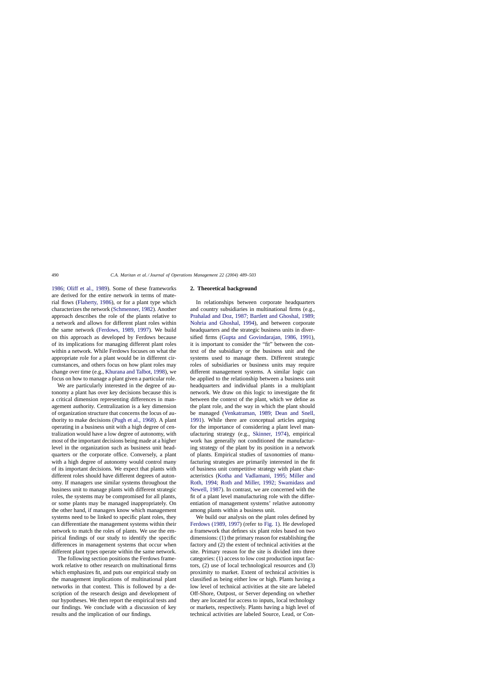[1986; Oliff et al., 1989\)](#page--1-0). Some of these frameworks are derived for the entire network in terms of material flows [\(Flaherty, 1986\),](#page--1-0) or for a plant type which characterizes the network [\(Schmenner, 1982\).](#page--1-0) Another approach describes the role of the plants relative to a network and allows for different plant roles within the same network [\(Ferdows, 1989, 1997\)](#page--1-0). We build on this approach as developed by Ferdows because of its implications for managing different plant roles within a network. While Ferdows focuses on what the appropriate role for a plant would be in different circumstances, and others focus on how plant roles may change over time (e.g., [Khurana and Talbot, 1998\),](#page--1-0) we focus on how to manage a plant given a particular role.

We are particularly interested in the degree of autonomy a plant has over key decisions because this is a critical dimension representing differences in management authority. Centralization is a key dimension of organization structure that concerns the locus of authority to make decisions [\(Pugh et al., 1968\).](#page--1-0) A plant operating in a business unit with a high degree of centralization would have a low degree of autonomy, with most of the important decisions being made at a higher level in the organization such as business unit headquarters or the corporate office. Conversely, a plant with a high degree of autonomy would control many of its important decisions. We expect that plants with different roles should have different degrees of autonomy. If managers use similar systems throughout the business unit to manage plants with different strategic roles, the systems may be compromised for all plants, or some plants may be managed inappropriately. On the other hand, if managers know which management systems need to be linked to specific plant roles, they can differentiate the management systems within their network to match the roles of plants. We use the empirical findings of our study to identify the specific differences in management systems that occur when different plant types operate within the same network.

The following section positions the Ferdows framework relative to other research on multinational firms which emphasizes fit, and puts our empirical study on the management implications of multinational plant networks in that context. This is followed by a description of the research design and development of our hypotheses. We then report the empirical tests and our findings. We conclude with a discussion of key results and the implication of our findings.

### **2. Theoretical background**

In relationships between corporate headquarters and country subsidiaries in multinational firms (e.g., [Prahalad and Doz, 1987; Bartlett and Ghoshal, 1989;](#page--1-0) [Nohria and Ghoshal, 1994\)](#page--1-0), and between corporate headquarters and the strategic business units in diversified firms ([Gupta and Govindarajan, 1986, 1991](#page--1-0)), it is important to consider the "fit" between the context of the subsidiary or the business unit and the systems used to manage them. Different strategic roles of subsidiaries or business units may require different management systems. A similar logic can be applied to the relationship between a business unit headquarters and individual plants in a multiplant network. We draw on this logic to investigate the fit between the context of the plant, which we define as the plant role, and the way in which the plant should be managed [\(Venkatraman, 1989; Dean and Snell](#page--1-0), [1991\).](#page--1-0) While there are conceptual articles arguing for the importance of considering a plant level manufacturing strategy (e.g., [Skinner, 1974\)](#page--1-0), empirical work has generally not conditioned the manufacturing strategy of the plant by its position in a network of plants. Empirical studies of taxonomies of manufacturing strategies are primarily interested in the fit of business unit competitive strategy with plant characteristics ([Kotha and Vadlamani, 1995; Miller and](#page--1-0) [Roth, 1994; Roth and Miller, 1992; Swamidass and](#page--1-0) [Newell, 1987\).](#page--1-0) In contrast, we are concerned with the fit of a plant level manufacturing role with the differentiation of management systems' relative autonomy among plants within a business unit.

We build our analysis on the plant roles defined by [Ferdows \(1989, 1997\)](#page--1-0) (refer to [Fig. 1\).](#page--1-0) He developed a framework that defines six plant roles based on two dimensions: (1) the primary reason for establishing the factory and (2) the extent of technical activities at the site. Primary reason for the site is divided into three categories: (1) access to low cost production input factors, (2) use of local technological resources and (3) proximity to market. Extent of technical activities is classified as being either low or high. Plants having a low level of technical activities at the site are labeled Off-Shore, Outpost, or Server depending on whether they are located for access to inputs, local technology or markets, respectively. Plants having a high level of technical activities are labeled Source, Lead, or Con-